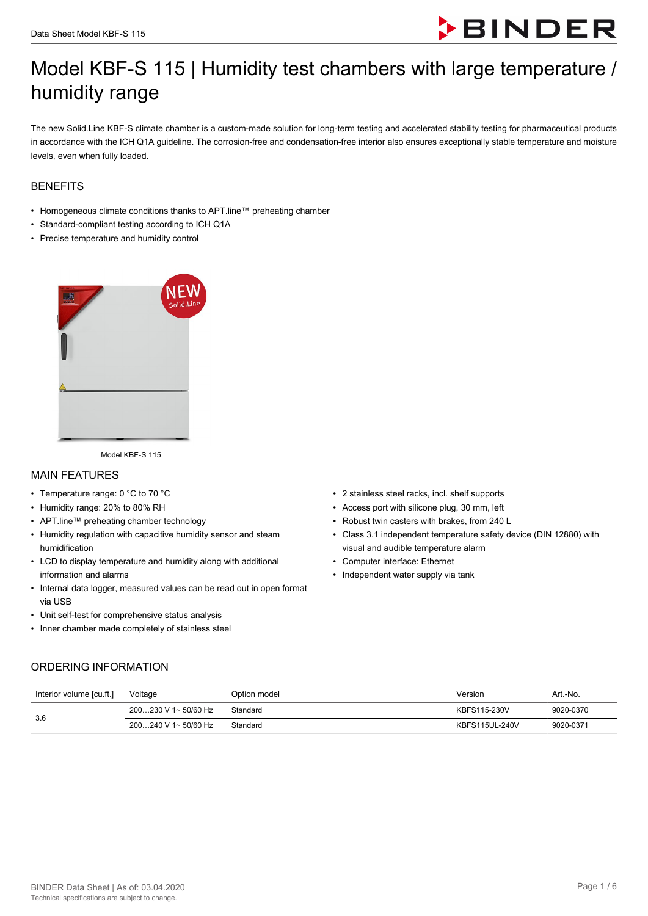

# Model KBF-S 115 | Humidity test chambers with large temperature / humidity range

The new Solid.Line KBF-S climate chamber is a custom-made solution for long-term testing and accelerated stability testing for pharmaceutical products in accordance with the ICH Q1A guideline. The corrosion-free and condensation-free interior also ensures exceptionally stable temperature and moisture levels, even when fully loaded.

#### **BENEFITS**

- Homogeneous climate conditions thanks to APT.line™ preheating chamber
- Standard-compliant testing according to ICH Q1A
- Precise temperature and humidity control



Model KBF-S 115

#### MAIN FEATURES

- Temperature range: 0 °C to 70 °C
- Humidity range: 20% to 80% RH
- APT.line™ preheating chamber technology
- Humidity regulation with capacitive humidity sensor and steam humidification
- LCD to display temperature and humidity along with additional information and alarms
- Internal data logger, measured values can be read out in open format via USB
- Unit self-test for comprehensive status analysis
- Inner chamber made completely of stainless steel
- 2 stainless steel racks, incl. shelf supports
- Access port with silicone plug, 30 mm, left
- Robust twin casters with brakes, from 240 L
- Class 3.1 independent temperature safety device (DIN 12880) with visual and audible temperature alarm
- Computer interface: Ethernet
- Independent water supply via tank

#### ORDERING INFORMATION

| Interior volume [cu.ft.] | Voltage                | Option model | Version        | Art.-No.  |
|--------------------------|------------------------|--------------|----------------|-----------|
| 3.6                      | $200230$ V 1~ 50/60 Hz | Standard     | KBFS115-230V   | 9020-0370 |
|                          | 200240 V 1~ 50/60 Hz   | Standard     | KBFS115UL-240V | 9020-0371 |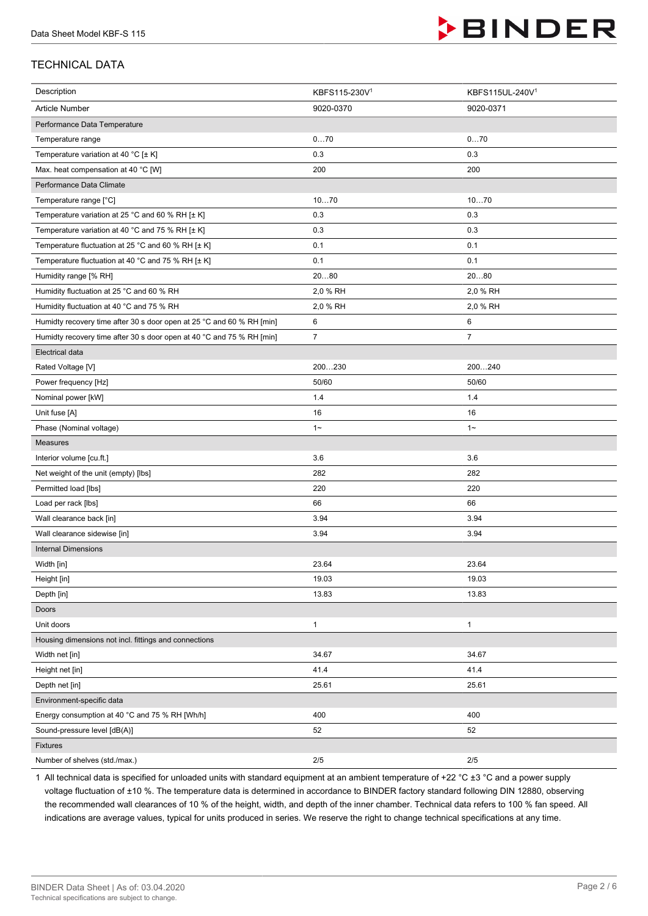

## TECHNICAL DATA

| Description                                                           | KBFS115-230V <sup>1</sup> | KBFS115UL-240V1 |
|-----------------------------------------------------------------------|---------------------------|-----------------|
| <b>Article Number</b>                                                 | 9020-0370                 | 9020-0371       |
| Performance Data Temperature                                          |                           |                 |
| Temperature range                                                     | 070                       | 070             |
| Temperature variation at 40 °C [± K]                                  | 0.3                       | 0.3             |
| Max. heat compensation at 40 °C [W]                                   | 200                       | 200             |
| Performance Data Climate                                              |                           |                 |
| Temperature range [°C]                                                | 1070                      | 1070            |
| Temperature variation at 25 °C and 60 % RH [± K]                      | 0.3                       | 0.3             |
| Temperature variation at 40 °C and 75 % RH [± K]                      | 0.3                       | 0.3             |
| Temperature fluctuation at 25 °C and 60 % RH [± K]                    | 0.1                       | 0.1             |
| Temperature fluctuation at 40 °C and 75 % RH [± K]                    | 0.1                       | 0.1             |
| Humidity range [% RH]                                                 | 2080                      | 2080            |
| Humidity fluctuation at 25 °C and 60 % RH                             | 2,0 % RH                  | 2,0 % RH        |
| Humidity fluctuation at 40 °C and 75 % RH                             | 2,0 % RH                  | 2,0 % RH        |
| Humidty recovery time after 30 s door open at 25 °C and 60 % RH [min] | 6                         | 6               |
| Humidty recovery time after 30 s door open at 40 °C and 75 % RH [min] | $\boldsymbol{7}$          | $\overline{7}$  |
| Electrical data                                                       |                           |                 |
| Rated Voltage [V]                                                     | 200230                    | 200240          |
| Power frequency [Hz]                                                  | 50/60                     | 50/60           |
| Nominal power [kW]                                                    | 1.4                       | 1.4             |
| Unit fuse [A]                                                         | 16                        | 16              |
| Phase (Nominal voltage)                                               | $1 -$                     | $1 -$           |
| Measures                                                              |                           |                 |
| Interior volume [cu.ft.]                                              | 3.6                       | 3.6             |
| Net weight of the unit (empty) [lbs]                                  | 282                       | 282             |
| Permitted load [lbs]                                                  | 220                       | 220             |
| Load per rack [lbs]                                                   | 66                        | 66              |
| Wall clearance back [in]                                              | 3.94                      | 3.94            |
| Wall clearance sidewise [in]                                          | 3.94                      | 3.94            |
| <b>Internal Dimensions</b>                                            |                           |                 |
| Width [in]                                                            | 23.64                     | 23.64           |
| Height [in]                                                           | 19.03                     | 19.03           |
| Depth [in]                                                            | 13.83                     | 13.83           |
| Doors                                                                 |                           |                 |
| Unit doors                                                            | $\mathbf{1}$              | 1               |
| Housing dimensions not incl. fittings and connections                 |                           |                 |
| Width net [in]                                                        | 34.67                     | 34.67           |
| Height net [in]                                                       | 41.4                      | 41.4            |
| Depth net [in]                                                        | 25.61                     | 25.61           |
| Environment-specific data                                             |                           |                 |
| Energy consumption at 40 °C and 75 % RH [Wh/h]                        | 400                       | 400             |
| Sound-pressure level [dB(A)]                                          | 52                        | 52              |
| <b>Fixtures</b>                                                       |                           |                 |
| Number of shelves (std./max.)                                         | $2/5$                     | $2/5$           |

1 All technical data is specified for unloaded units with standard equipment at an ambient temperature of +22 °C ±3 °C and a power supply voltage fluctuation of ±10 %. The temperature data is determined in accordance to BINDER factory standard following DIN 12880, observing the recommended wall clearances of 10 % of the height, width, and depth of the inner chamber. Technical data refers to 100 % fan speed. All indications are average values, typical for units produced in series. We reserve the right to change technical specifications at any time.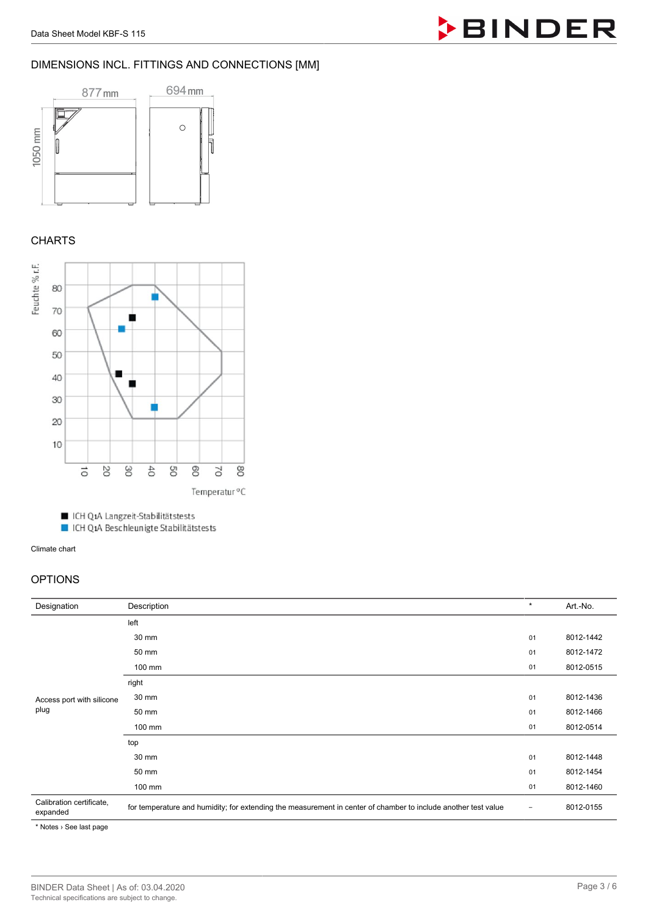

#### DIMENSIONS INCL. FITTINGS AND CONNECTIONS [MM]



## **CHARTS**



■ ICH Q1A Langzeit-Stabilitätstests

■ ICH Q1A Beschleunigte Stabilitätstests

Climate chart

## OPTIONS

| Designation                          | Description                                                                                                    | $\star$                  | Art.-No.  |
|--------------------------------------|----------------------------------------------------------------------------------------------------------------|--------------------------|-----------|
| Access port with silicone<br>plug    | left                                                                                                           |                          |           |
|                                      | 30 mm                                                                                                          | 01                       | 8012-1442 |
|                                      | 50 mm                                                                                                          | 01                       | 8012-1472 |
|                                      | 100 mm                                                                                                         | 01                       | 8012-0515 |
|                                      | right                                                                                                          |                          |           |
|                                      | 30 mm                                                                                                          | 01                       | 8012-1436 |
|                                      | 50 mm                                                                                                          | 01                       | 8012-1466 |
|                                      | 100 mm                                                                                                         | 01                       | 8012-0514 |
|                                      | top                                                                                                            |                          |           |
|                                      | 30 mm                                                                                                          | 01                       | 8012-1448 |
|                                      | 50 mm                                                                                                          | 01                       | 8012-1454 |
|                                      | 100 mm                                                                                                         | 01                       | 8012-1460 |
| Calibration certificate,<br>expanded | for temperature and humidity; for extending the measurement in center of chamber to include another test value | $\overline{\phantom{a}}$ | 8012-0155 |

\* Notes › See last page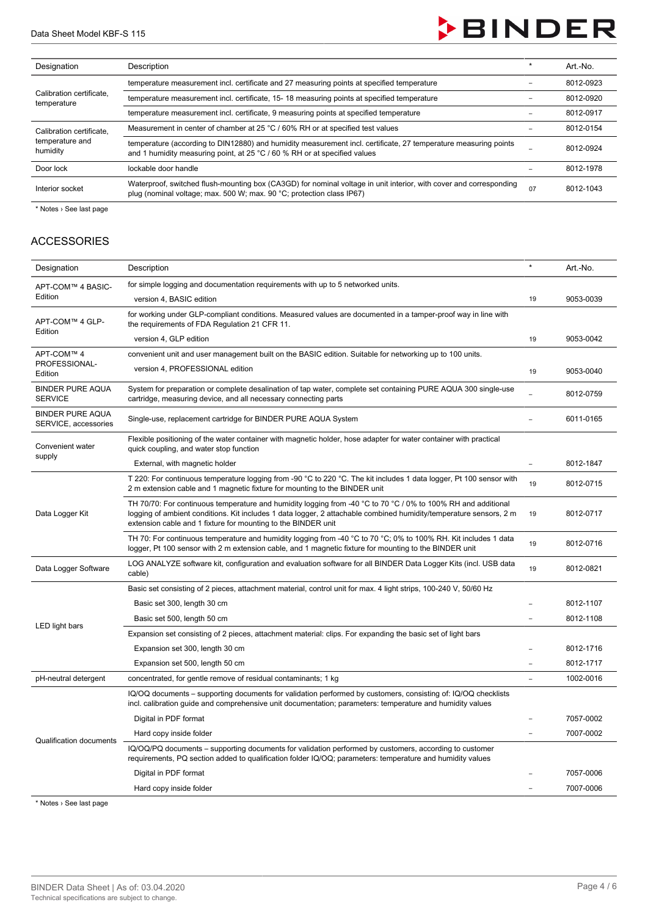

| Designation                                             | Description                                                                                                                                                                                            |  | Art.-No.  |
|---------------------------------------------------------|--------------------------------------------------------------------------------------------------------------------------------------------------------------------------------------------------------|--|-----------|
| Calibration certificate,<br>temperature                 | temperature measurement incl. certificate and 27 measuring points at specified temperature                                                                                                             |  | 8012-0923 |
|                                                         | temperature measurement incl. certificate, 15-18 measuring points at specified temperature                                                                                                             |  | 8012-0920 |
|                                                         | temperature measurement incl. certificate, 9 measuring points at specified temperature                                                                                                                 |  | 8012-0917 |
| Calibration certificate.<br>temperature and<br>humidity | Measurement in center of chamber at 25 °C / 60% RH or at specified test values                                                                                                                         |  | 8012-0154 |
|                                                         | temperature (according to DIN12880) and humidity measurement incl. certificate, 27 temperature measuring points<br>and 1 humidity measuring point, at 25 $^{\circ}$ C / 60 % RH or at specified values |  | 8012-0924 |
| Door lock                                               | lockable door handle                                                                                                                                                                                   |  | 8012-1978 |
| Interior socket                                         | Waterproof, switched flush-mounting box (CA3GD) for nominal voltage in unit interior, with cover and corresponding<br>plug (nominal voltage; max. 500 W; max. 90 °C; protection class IP67)            |  | 8012-1043 |

\* Notes > See last page

#### ACCESSORIES

| Designation                                     | Description                                                                                                                                                                                                                                                                                          | $\star$                  | Art.-No.  |
|-------------------------------------------------|------------------------------------------------------------------------------------------------------------------------------------------------------------------------------------------------------------------------------------------------------------------------------------------------------|--------------------------|-----------|
| APT-COM™ 4 BASIC-                               | for simple logging and documentation requirements with up to 5 networked units.                                                                                                                                                                                                                      |                          |           |
| Edition                                         | version 4, BASIC edition                                                                                                                                                                                                                                                                             | 19                       | 9053-0039 |
| APT-COM™ 4 GLP-<br>Edition                      | for working under GLP-compliant conditions. Measured values are documented in a tamper-proof way in line with<br>the requirements of FDA Regulation 21 CFR 11.                                                                                                                                       |                          |           |
|                                                 | version 4, GLP edition                                                                                                                                                                                                                                                                               | 19                       | 9053-0042 |
| APT-COM™ 4                                      | convenient unit and user management built on the BASIC edition. Suitable for networking up to 100 units.                                                                                                                                                                                             |                          |           |
| PROFESSIONAL-<br>Edition                        | version 4, PROFESSIONAL edition                                                                                                                                                                                                                                                                      | 19                       | 9053-0040 |
| <b>BINDER PURE AQUA</b><br><b>SERVICE</b>       | System for preparation or complete desalination of tap water, complete set containing PURE AQUA 300 single-use<br>cartridge, measuring device, and all necessary connecting parts                                                                                                                    |                          | 8012-0759 |
| <b>BINDER PURE AQUA</b><br>SERVICE, accessories | Single-use, replacement cartridge for BINDER PURE AQUA System                                                                                                                                                                                                                                        |                          | 6011-0165 |
| Convenient water                                | Flexible positioning of the water container with magnetic holder, hose adapter for water container with practical<br>quick coupling, and water stop function                                                                                                                                         |                          |           |
| supply                                          | External, with magnetic holder                                                                                                                                                                                                                                                                       | $\overline{\phantom{0}}$ | 8012-1847 |
| Data Logger Kit                                 | T 220: For continuous temperature logging from -90 °C to 220 °C. The kit includes 1 data logger, Pt 100 sensor with<br>2 m extension cable and 1 magnetic fixture for mounting to the BINDER unit                                                                                                    | 19                       | 8012-0715 |
|                                                 | TH 70/70: For continuous temperature and humidity logging from -40 °C to 70 °C / 0% to 100% RH and additional<br>logging of ambient conditions. Kit includes 1 data logger, 2 attachable combined humidity/temperature sensors, 2 m<br>extension cable and 1 fixture for mounting to the BINDER unit | 19                       | 8012-0717 |
|                                                 | TH 70: For continuous temperature and humidity logging from -40 $^{\circ}$ C to 70 $^{\circ}$ C; 0% to 100% RH. Kit includes 1 data<br>logger, Pt 100 sensor with 2 m extension cable, and 1 magnetic fixture for mounting to the BINDER unit                                                        | 19                       | 8012-0716 |
| Data Logger Software                            | LOG ANALYZE software kit, configuration and evaluation software for all BINDER Data Logger Kits (incl. USB data<br>cable)                                                                                                                                                                            |                          | 8012-0821 |
|                                                 | Basic set consisting of 2 pieces, attachment material, control unit for max. 4 light strips, 100-240 V, 50/60 Hz                                                                                                                                                                                     |                          |           |
|                                                 | Basic set 300, length 30 cm                                                                                                                                                                                                                                                                          |                          | 8012-1107 |
|                                                 | Basic set 500, length 50 cm                                                                                                                                                                                                                                                                          |                          | 8012-1108 |
| LED light bars                                  | Expansion set consisting of 2 pieces, attachment material: clips. For expanding the basic set of light bars                                                                                                                                                                                          |                          |           |
|                                                 | Expansion set 300, length 30 cm                                                                                                                                                                                                                                                                      |                          | 8012-1716 |
|                                                 | Expansion set 500, length 50 cm                                                                                                                                                                                                                                                                      |                          | 8012-1717 |
| pH-neutral detergent                            | concentrated, for gentle remove of residual contaminants; 1 kg                                                                                                                                                                                                                                       | $\sim$                   | 1002-0016 |
| <b>Qualification documents</b>                  | IQ/OQ documents – supporting documents for validation performed by customers, consisting of: IQ/OQ checklists<br>incl. calibration guide and comprehensive unit documentation; parameters: temperature and humidity values                                                                           |                          |           |
|                                                 | Digital in PDF format                                                                                                                                                                                                                                                                                |                          | 7057-0002 |
|                                                 | Hard copy inside folder                                                                                                                                                                                                                                                                              |                          | 7007-0002 |
|                                                 | IQ/OQ/PQ documents – supporting documents for validation performed by customers, according to customer<br>requirements, PQ section added to qualification folder IQ/OQ; parameters: temperature and humidity values                                                                                  |                          |           |
|                                                 | Digital in PDF format                                                                                                                                                                                                                                                                                |                          | 7057-0006 |
|                                                 | Hard copy inside folder                                                                                                                                                                                                                                                                              |                          | 7007-0006 |

\* Notes › See last page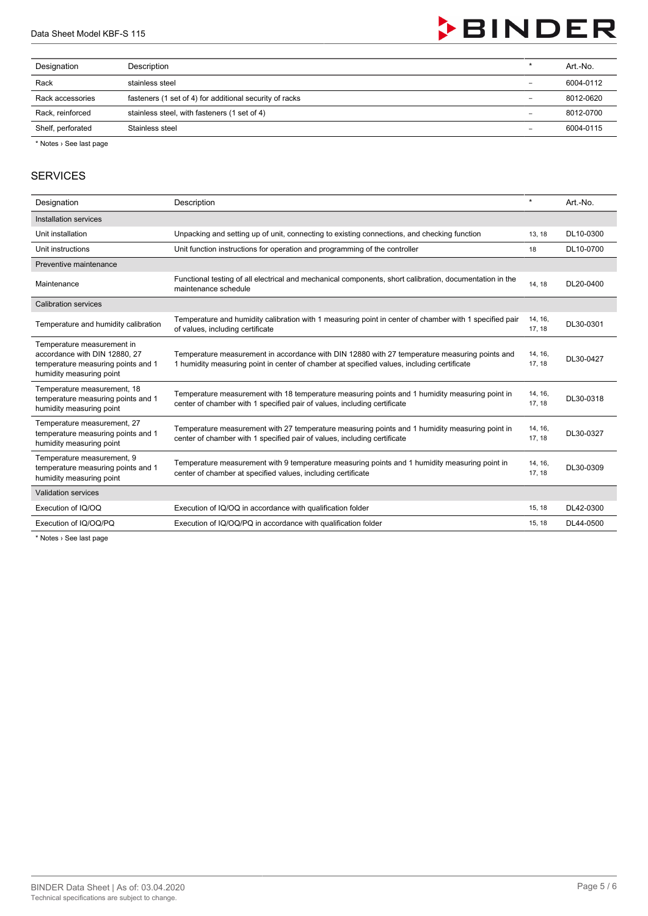

| Designation       | Description                                             | $\star$                  | Art.-No.  |
|-------------------|---------------------------------------------------------|--------------------------|-----------|
| Rack              | stainless steel                                         | -                        | 6004-0112 |
| Rack accessories  | fasteners (1 set of 4) for additional security of racks | $\qquad \qquad -$        | 8012-0620 |
| Rack, reinforced  | stainless steel, with fasteners (1 set of 4)            | $\overline{\phantom{a}}$ | 8012-0700 |
| Shelf, perforated | Stainless steel                                         | $\overline{\phantom{0}}$ | 6004-0115 |
|                   |                                                         |                          |           |

\* Notes › See last page

#### **SERVICES**

| Designation                                                                                                                   | Description                                                                                                                                                                                 | $\star$           | Art.-No.  |
|-------------------------------------------------------------------------------------------------------------------------------|---------------------------------------------------------------------------------------------------------------------------------------------------------------------------------------------|-------------------|-----------|
| Installation services                                                                                                         |                                                                                                                                                                                             |                   |           |
| Unit installation                                                                                                             | Unpacking and setting up of unit, connecting to existing connections, and checking function                                                                                                 | 13, 18            | DL10-0300 |
| Unit instructions                                                                                                             | Unit function instructions for operation and programming of the controller                                                                                                                  | 18                | DL10-0700 |
| Preventive maintenance                                                                                                        |                                                                                                                                                                                             |                   |           |
| Maintenance                                                                                                                   | Functional testing of all electrical and mechanical components, short calibration, documentation in the<br>maintenance schedule                                                             | 14, 18            | DL20-0400 |
| <b>Calibration services</b>                                                                                                   |                                                                                                                                                                                             |                   |           |
| Temperature and humidity calibration                                                                                          | Temperature and humidity calibration with 1 measuring point in center of chamber with 1 specified pair<br>of values, including certificate                                                  | 14, 16,<br>17, 18 | DL30-0301 |
| Temperature measurement in<br>accordance with DIN 12880, 27<br>temperature measuring points and 1<br>humidity measuring point | Temperature measurement in accordance with DIN 12880 with 27 temperature measuring points and<br>1 humidity measuring point in center of chamber at specified values, including certificate | 14, 16,<br>17, 18 | DL30-0427 |
| Temperature measurement, 18<br>temperature measuring points and 1<br>humidity measuring point                                 | Temperature measurement with 18 temperature measuring points and 1 humidity measuring point in<br>center of chamber with 1 specified pair of values, including certificate                  | 14, 16,<br>17, 18 | DL30-0318 |
| Temperature measurement, 27<br>temperature measuring points and 1<br>humidity measuring point                                 | Temperature measurement with 27 temperature measuring points and 1 humidity measuring point in<br>center of chamber with 1 specified pair of values, including certificate                  | 14, 16,<br>17, 18 | DL30-0327 |
| Temperature measurement, 9<br>temperature measuring points and 1<br>humidity measuring point                                  | Temperature measurement with 9 temperature measuring points and 1 humidity measuring point in<br>center of chamber at specified values, including certificate                               | 14, 16,<br>17, 18 | DL30-0309 |
| <b>Validation services</b>                                                                                                    |                                                                                                                                                                                             |                   |           |
| Execution of IQ/OQ                                                                                                            | Execution of IQ/OQ in accordance with qualification folder                                                                                                                                  | 15, 18            | DL42-0300 |
| Execution of IQ/OQ/PQ                                                                                                         | Execution of IQ/OQ/PQ in accordance with qualification folder                                                                                                                               | 15.18             | DL44-0500 |

\* Notes › See last page